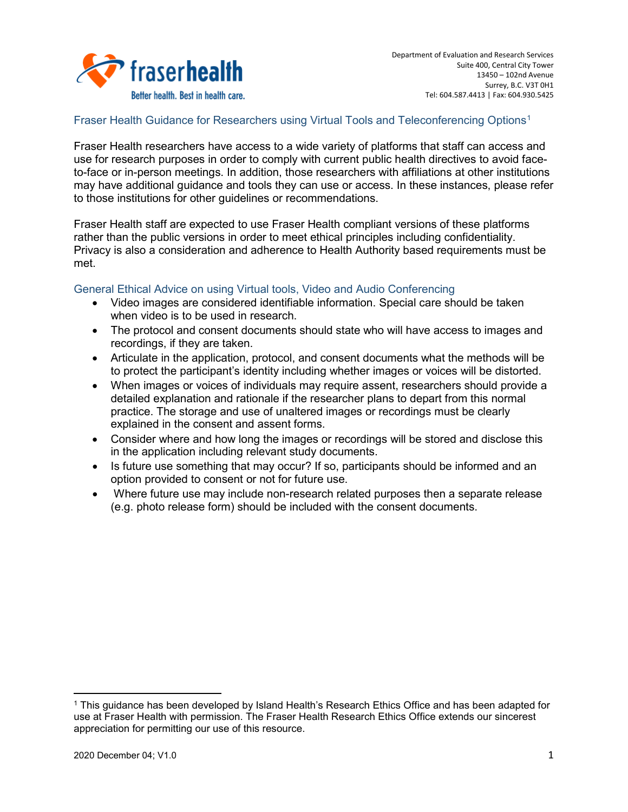

### Fraser Health Guidance for Researchers using Virtual Tools and Teleconferencing Options<sup>[1](#page-0-0)</sup>

Fraser Health researchers have access to a wide variety of platforms that staff can access and use for research purposes in order to comply with current public health directives to avoid faceto-face or in-person meetings. In addition, those researchers with affiliations at other institutions may have additional guidance and tools they can use or access. In these instances, please refer to those institutions for other guidelines or recommendations.

Fraser Health staff are expected to use Fraser Health compliant versions of these platforms rather than the public versions in order to meet ethical principles including confidentiality. Privacy is also a consideration and adherence to Health Authority based requirements must be met.

# General Ethical Advice on using Virtual tools, Video and Audio Conferencing

- Video images are considered identifiable information. Special care should be taken when video is to be used in research.
- The protocol and consent documents should state who will have access to images and recordings, if they are taken.
- Articulate in the application, protocol, and consent documents what the methods will be to protect the participant's identity including whether images or voices will be distorted.
- When images or voices of individuals may require assent, researchers should provide a detailed explanation and rationale if the researcher plans to depart from this normal practice. The storage and use of unaltered images or recordings must be clearly explained in the consent and assent forms.
- Consider where and how long the images or recordings will be stored and disclose this in the application including relevant study documents.
- Is future use something that may occur? If so, participants should be informed and an option provided to consent or not for future use.
- Where future use may include non-research related purposes then a separate release (e.g. photo release form) should be included with the consent documents.

l

<span id="page-0-0"></span><sup>&</sup>lt;sup>1</sup> This guidance has been developed by Island Health's Research Ethics Office and has been adapted for use at Fraser Health with permission. The Fraser Health Research Ethics Office extends our sincerest appreciation for permitting our use of this resource.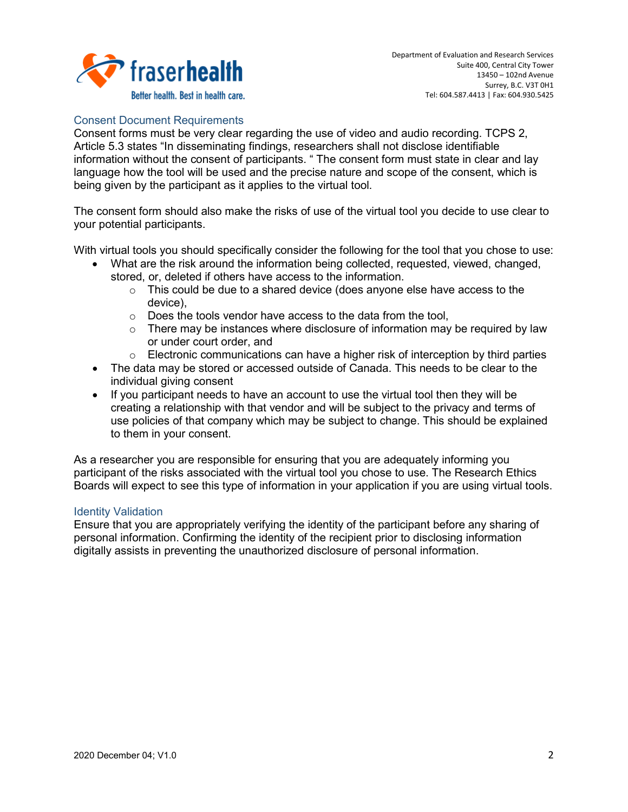

## Consent Document Requirements

Consent forms must be very clear regarding the use of video and audio recording. TCPS 2, Article 5.3 states "In disseminating findings, researchers shall not disclose identifiable information without the consent of participants. " The consent form must state in clear and lay language how the tool will be used and the precise nature and scope of the consent, which is being given by the participant as it applies to the virtual tool.

The consent form should also make the risks of use of the virtual tool you decide to use clear to your potential participants.

With virtual tools you should specifically consider the following for the tool that you chose to use:

- What are the risk around the information being collected, requested, viewed, changed, stored, or, deleted if others have access to the information.
	- $\circ$  This could be due to a shared device (does anyone else have access to the device),
	- $\circ$  Does the tools vendor have access to the data from the tool,<br> $\circ$  There mav be instances where disclosure of information mav
	- There may be instances where disclosure of information may be required by law or under court order, and
	- $\circ$  Electronic communications can have a higher risk of interception by third parties
- The data may be stored or accessed outside of Canada. This needs to be clear to the individual giving consent
- If you participant needs to have an account to use the virtual tool then they will be creating a relationship with that vendor and will be subject to the privacy and terms of use policies of that company which may be subject to change. This should be explained to them in your consent.

As a researcher you are responsible for ensuring that you are adequately informing you participant of the risks associated with the virtual tool you chose to use. The Research Ethics Boards will expect to see this type of information in your application if you are using virtual tools.

### Identity Validation

Ensure that you are appropriately verifying the identity of the participant before any sharing of personal information. Confirming the identity of the recipient prior to disclosing information digitally assists in preventing the unauthorized disclosure of personal information.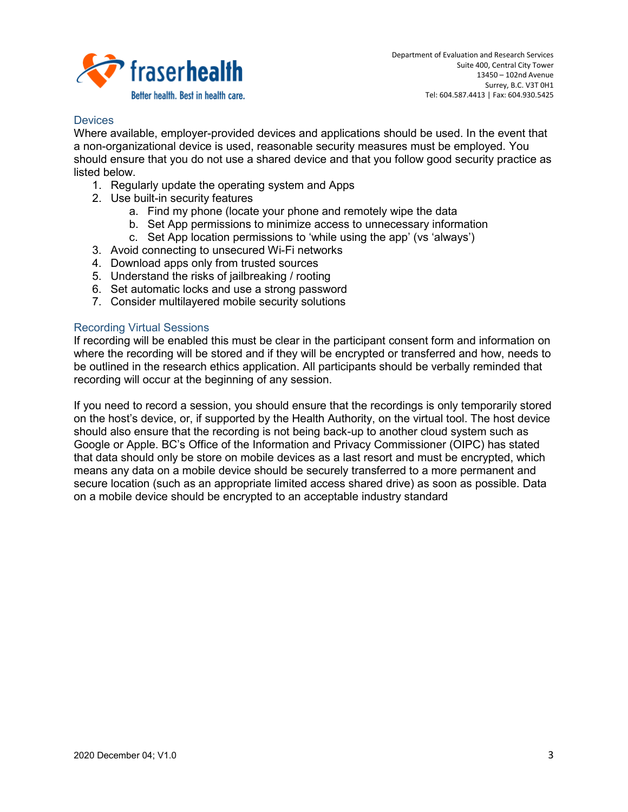

### **Devices**

Where available, employer-provided devices and applications should be used. In the event that a non-organizational device is used, reasonable security measures must be employed. You should ensure that you do not use a shared device and that you follow good security practice as listed below.

- 1. Regularly update the operating system and Apps
- 2. Use built-in security features
	- a. Find my phone (locate your phone and remotely wipe the data
	- b. Set App permissions to minimize access to unnecessary information
	- c. Set App location permissions to 'while using the app' (vs 'always')
- 3. Avoid connecting to unsecured Wi-Fi networks
- 4. Download apps only from trusted sources
- 5. Understand the risks of jailbreaking / rooting
- 6. Set automatic locks and use a strong password
- 7. Consider multilayered mobile security solutions

### Recording Virtual Sessions

If recording will be enabled this must be clear in the participant consent form and information on where the recording will be stored and if they will be encrypted or transferred and how, needs to be outlined in the research ethics application. All participants should be verbally reminded that recording will occur at the beginning of any session.

If you need to record a session, you should ensure that the recordings is only temporarily stored on the host's device, or, if supported by the Health Authority, on the virtual tool. The host device should also ensure that the recording is not being back-up to another cloud system such as Google or Apple. BC's Office of the Information and Privacy Commissioner (OIPC) has stated that data should only be store on mobile devices as a last resort and must be encrypted, which means any data on a mobile device should be securely transferred to a more permanent and secure location (such as an appropriate limited access shared drive) as soon as possible. Data on a mobile device should be encrypted to an acceptable industry standard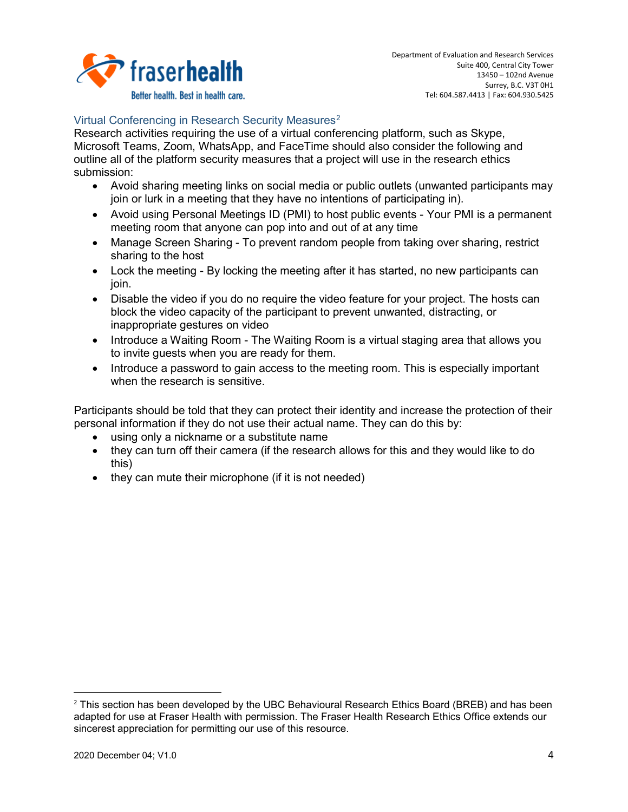

# Virtual Conferencing in Research Security Measures<sup>[2](#page-3-0)</sup>

Research activities requiring the use of a virtual conferencing platform, such as Skype, Microsoft Teams, Zoom, WhatsApp, and FaceTime should also consider the following and outline all of the platform security measures that a project will use in the research ethics submission:

- Avoid sharing meeting links on social media or public outlets (unwanted participants may join or lurk in a meeting that they have no intentions of participating in).
- Avoid using Personal Meetings ID (PMI) to host public events Your PMI is a permanent meeting room that anyone can pop into and out of at any time
- Manage Screen Sharing To prevent random people from taking over sharing, restrict sharing to the host
- Lock the meeting By locking the meeting after it has started, no new participants can join.
- Disable the video if you do no require the video feature for your project. The hosts can block the video capacity of the participant to prevent unwanted, distracting, or inappropriate gestures on video
- Introduce a Waiting Room The Waiting Room is a virtual staging area that allows you to invite guests when you are ready for them.
- Introduce a password to gain access to the meeting room. This is especially important when the research is sensitive.

Participants should be told that they can protect their identity and increase the protection of their personal information if they do not use their actual name. They can do this by:

- using only a nickname or a substitute name
- they can turn off their camera (if the research allows for this and they would like to do this)
- they can mute their microphone (if it is not needed)

<span id="page-3-0"></span><sup>&</sup>lt;sup>2</sup> This section has been developed by the UBC Behavioural Research Ethics Board (BREB) and has been adapted for use at Fraser Health with permission. The Fraser Health Research Ethics Office extends our sincerest appreciation for permitting our use of this resource.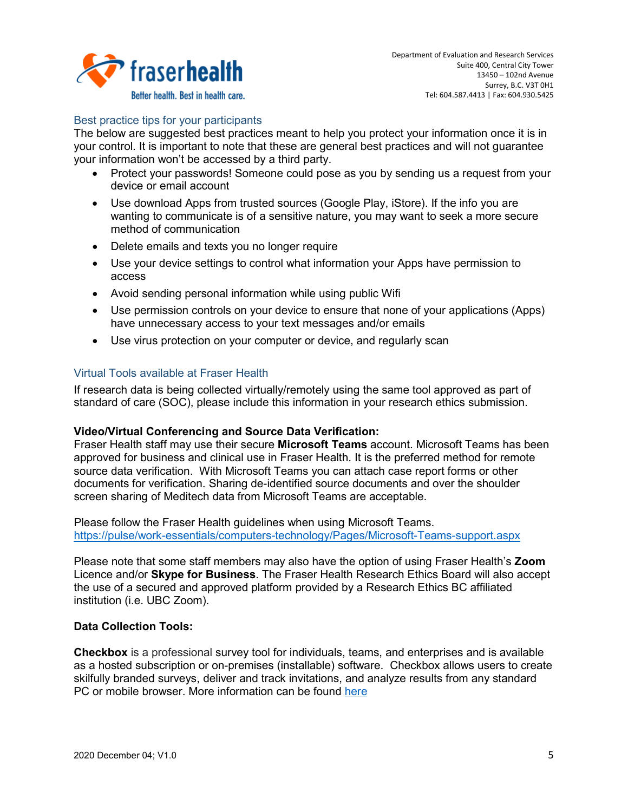

# Best practice tips for your participants

The below are suggested best practices meant to help you protect your information once it is in your control. It is important to note that these are general best practices and will not guarantee your information won't be accessed by a third party.

- Protect your passwords! Someone could pose as you by sending us a request from your device or email account
- Use download Apps from trusted sources (Google Play, iStore). If the info you are wanting to communicate is of a sensitive nature, you may want to seek a more secure method of communication
- Delete emails and texts you no longer require
- Use your device settings to control what information your Apps have permission to access
- Avoid sending personal information while using public Wifi
- Use permission controls on your device to ensure that none of your applications (Apps) have unnecessary access to your text messages and/or emails
- Use virus protection on your computer or device, and regularly scan

### Virtual Tools available at Fraser Health

If research data is being collected virtually/remotely using the same tool approved as part of standard of care (SOC), please include this information in your research ethics submission.

### **Video/Virtual Conferencing and Source Data Verification:**

Fraser Health staff may use their secure **Microsoft Teams** account. Microsoft Teams has been approved for business and clinical use in Fraser Health. It is the preferred method for remote source data verification. With Microsoft Teams you can attach case report forms or other documents for verification. Sharing de-identified source documents and over the shoulder screen sharing of Meditech data from Microsoft Teams are acceptable.

Please follow the Fraser Health guidelines when using Microsoft Teams. <https://pulse/work-essentials/computers-technology/Pages/Microsoft-Teams-support.aspx>

Please note that some staff members may also have the option of using Fraser Health's **Zoom** Licence and/or **Skype for Business**. The Fraser Health Research Ethics Board will also accept the use of a secured and approved platform provided by a Research Ethics BC affiliated institution (i.e. UBC Zoom).

### **Data Collection Tools:**

**Checkbox** is a professional survey tool for individuals, teams, and enterprises and is available as a hosted subscription or on-premises (installable) software. Checkbox allows users to create skilfully branded surveys, deliver and track invitations, and analyze results from any standard PC or mobile browser. More information can be found [here](https://www.checkbox.com/survey-features/)